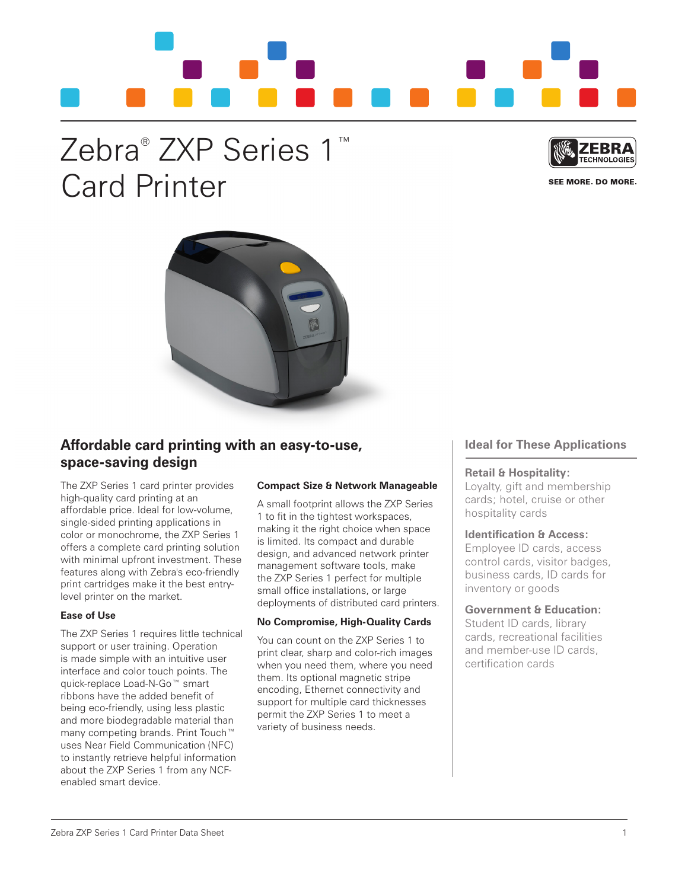# Zebra® ZXP Series 1™ Card Printer



SEE MORE, DO MORE.



## **Affordable card printing with an easy-to-use, space-saving design**

The ZXP Series 1 card printer provides high-quality card printing at an affordable price. Ideal for low-volume, single-sided printing applications in color or monochrome, the ZXP Series 1 offers a complete card printing solution with minimal upfront investment. These features along with Zebra's eco-friendly print cartridges make it the best entrylevel printer on the market.

## **Ease of Use**

The ZXP Series 1 requires little technical support or user training. Operation is made simple with an intuitive user interface and color touch points. The quick-replace Load-N-Go™ smart ribbons have the added benefit of being eco-friendly, using less plastic and more biodegradable material than many competing brands. Print Touch™ uses Near Field Communication (NFC) to instantly retrieve helpful information about the ZXP Series 1 from any NCFenabled smart device.

## **Compact Size & Network Manageable**

A small footprint allows the ZXP Series 1 to fit in the tightest workspaces, making it the right choice when space is limited. Its compact and durable design, and advanced network printer management software tools, make the ZXP Series 1 perfect for multiple small office installations, or large deployments of distributed card printers.

## **No Compromise, High-Quality Cards**

You can count on the ZXP Series 1 to print clear, sharp and color-rich images when you need them, where you need them. Its optional magnetic stripe encoding, Ethernet connectivity and support for multiple card thicknesses permit the ZXP Series 1 to meet a variety of business needs.

## **Ideal for These Applications**

## **Retail & Hospitality:**

Loyalty, gift and membership cards; hotel, cruise or other hospitality cards

## **Identification & Access:**

Employee ID cards, access control cards, visitor badges, business cards, ID cards for inventory or goods

## **Government & Education:**

Student ID cards, library cards, recreational facilities and member-use ID cards, certification cards